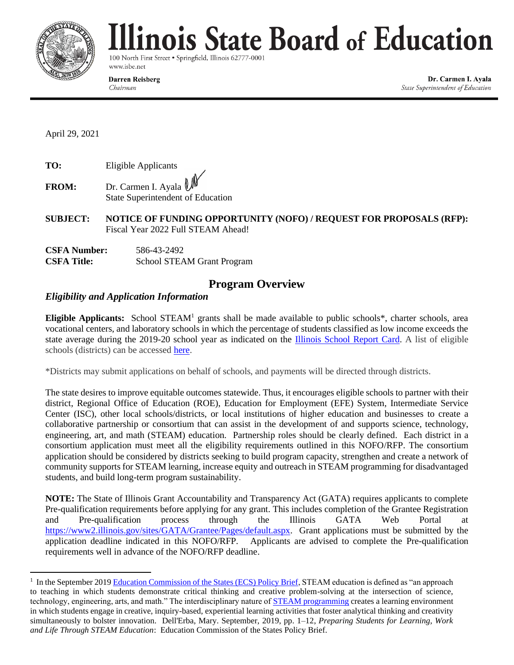

# linois State Board of Education

100 North First Street . Springfield, Illinois 62777-0001 www.isbe.net

**Darren Reisberg** 

Chairman

Dr. Carmen I. Ayala State Superintendent of Education

April 29, 2021

**TO:** Eligible Applicants

**FROM:** Dr. Carmen I. Ayala State Superintendent of Education

**SUBJECT: NOTICE OF FUNDING OPPORTUNITY (NOFO) / REQUEST FOR PROPOSALS (RFP):**  Fiscal Year 2022 Full STEAM Ahead!

| <b>CSFA Number:</b> | 586-43-2492                       |
|---------------------|-----------------------------------|
| <b>CSFA Title:</b>  | <b>School STEAM Grant Program</b> |

# **Program Overview**

# *Eligibility and Application Information*

**Eligible Applicants:** School STEAM<sup>1</sup> grants shall be made available to public schools\*, charter schools, area vocational centers, and laboratory schools in which the percentage of students classified as low income exceeds the state average during the 2019-20 school year as indicated on the [Illinois School Report Card.](https://www.illinoisreportcard.com/State.aspx?source=studentcharacteristics&source2=lowincome&Stateid=IL) A list of eligible schools (districts) can be accessed [here.](https://www.isbe.net/Documents/STEAM-Eligible-Districts.pdf)

\*Districts may submit applications on behalf of schools, and payments will be directed through districts.

The state desires to improve equitable outcomes statewide. Thus, it encourages eligible schools to partner with their district, Regional Office of Education (ROE), Education for Employment (EFE) System, Intermediate Service Center (ISC), other local schools/districts, or local institutions of higher education and businesses to create a collaborative partnership or consortium that can assist in the development of and supports science, technology, engineering, art, and math (STEAM) education. Partnership roles should be clearly defined. Each district in a consortium application must meet all the eligibility requirements outlined in this NOFO/RFP. The consortium application should be considered by districts seeking to build program capacity, strengthen and create a network of community supports for STEAM learning, increase equity and outreach in STEAM programming for disadvantaged students, and build long-term program sustainability.

**NOTE:** The State of Illinois Grant Accountability and Transparency Act (GATA) requires applicants to complete Pre-qualification requirements before applying for any grant. This includes completion of the Grantee Registration and Pre-qualification process through the Illinois GATA Web Portal at [https://www2.illinois.gov/sites/GATA/Grantee/Pages/default.aspx.](https://www2.illinois.gov/sites/GATA/Grantee/Pages/default.aspx) Grant applications must be submitted by the application deadline indicated in this NOFO/RFP. Applicants are advised to complete the Pre-qualification requirements well in advance of the NOFO/RFP deadline.

<sup>1</sup> In the September 201[9 Education Commission of the States \(ECS\) Policy Brief,](https://www.ecs.org/wp-content/uploads/Preparing-Students-for-Learning-Work-and-Life-through-STEAM-Education.pdf) STEAM education is defined as "an approach to teaching in which students demonstrate critical thinking and creative problem-solving at the intersection of science, technology, engineering, arts, and math." The interdisciplinary nature of [STEAM programming](https://www.ecs.org/wp-content/uploads/STEAM-Infographic.pdf) creates a learning environment in which students engage in creative, inquiry-based, experiential learning activities that foster analytical thinking and creativity simultaneously to bolster innovation. Dell'Erba, Mary. September, 2019, pp. 1–12, *Preparing Students for Learning, Work and Life Through STEAM Education*: Education Commission of the States Policy Brief.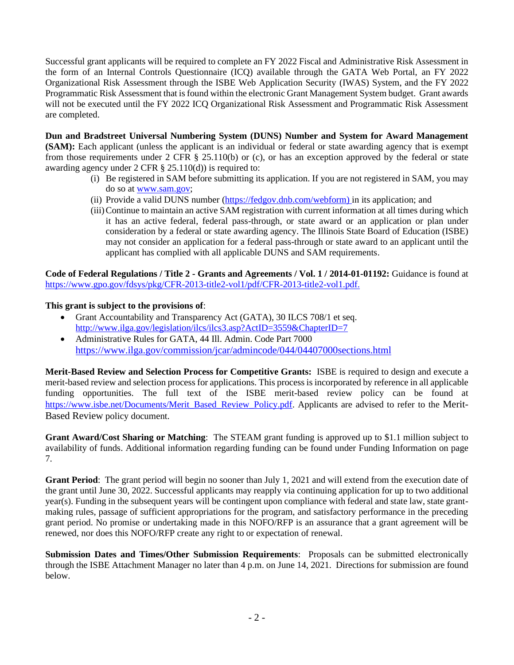Successful grant applicants will be required to complete an FY 2022 Fiscal and Administrative Risk Assessment in the form of an Internal Controls Questionnaire (ICQ) available through the GATA Web Portal, an FY 2022 Organizational Risk Assessment through the ISBE Web Application Security (IWAS) System, and the FY 2022 Programmatic Risk Assessment that is found within the electronic Grant Management System budget. Grant awards will not be executed until the FY 2022 ICQ Organizational Risk Assessment and Programmatic Risk Assessment are completed.

**Dun and Bradstreet Universal Numbering System (DUNS) Number and System for Award Management (SAM):** Each applicant (unless the applicant is an individual or federal or state awarding agency that is exempt from those requirements under 2 CFR § 25.110(b) or (c), or has an exception approved by the federal or state awarding agency under 2 CFR § 25.110(d)) is required to:

- (i) Be registered in SAM before submitting its application. If you are not registered in SAM, you may do so at [www.sam.gov;](http://www.sam.gov/)
- (ii) Provide a valid DUNS number [\(https://fedgov.dnb.com/webform\)](https://fedgov.dnb.com/webform) in its application; and
- (iii)Continue to maintain an active SAM registration with current information at all times during which it has an active federal, federal pass-through, or state award or an application or plan under consideration by a federal or state awarding agency. The Illinois State Board of Education (ISBE) may not consider an application for a federal pass-through or state award to an applicant until the applicant has complied with all applicable DUNS and SAM requirements.

**Code of Federal Regulations / Title 2 - Grants and Agreements / Vol. 1 / 2014-01-01192:** Guidance is found at [https://www.gpo.gov/fdsys/pkg/CFR-2013-title2-vol1/pdf/CFR-2013-title2-vol1.pdf.](https://www.gpo.gov/fdsys/pkg/CFR-2013-title2-vol1/pdf/CFR-2013-title2-vol1.pdf)

## **This grant is subject to the provisions of**:

- Grant Accountability and Transparency Act (GATA), 30 ILCS 708/1 et seq. <http://www.ilga.gov/legislation/ilcs/ilcs3.asp?ActID=3559&ChapterID=7>
- Administrative Rules for GATA, 44 Ill. Admin. Code Part 7000 <https://www.ilga.gov/commission/jcar/admincode/044/04407000sections.html>

**Merit-Based Review and Selection Process for Competitive Grants:** ISBE is required to design and execute a merit-based review and selection process for applications. This process is incorporated by reference in all applicable funding opportunities. The full text of the ISBE merit-based review policy can be found at [https://www.isbe.net/Documents/Merit\\_Based\\_Review\\_Policy.pdf.](https://www.isbe.net/Documents/Merit_Based_Review_Policy.pdf) Applicants are advised to refer to the Merit-Based Review policy document.

**Grant Award/Cost Sharing or Matching**: The STEAM grant funding is approved up to \$1.1 million subject to availability of funds. Additional information regarding funding can be found under Funding Information on page 7.

**Grant Period**: The grant period will begin no sooner than July 1, 2021 and will extend from the execution date of the grant until June 30, 2022. Successful applicants may reapply via continuing application for up to two additional year(s). Funding in the subsequent years will be contingent upon compliance with federal and state law, state grantmaking rules, passage of sufficient appropriations for the program, and satisfactory performance in the preceding grant period. No promise or undertaking made in this NOFO/RFP is an assurance that a grant agreement will be renewed, nor does this NOFO/RFP create any right to or expectation of renewal.

**Submission Dates and Times/Other Submission Requirements**: Proposals can be submitted electronically through the ISBE Attachment Manager no later than 4 p.m. on June 14, 2021. Directions for submission are found below.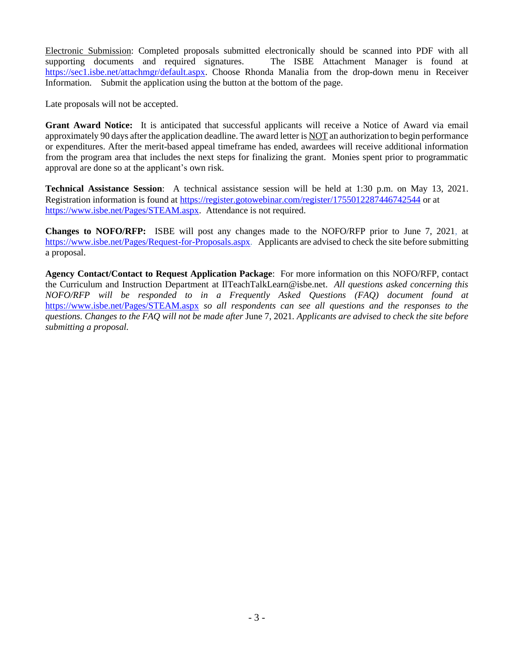Electronic Submission: Completed proposals submitted electronically should be scanned into PDF with all supporting documents and required signatures. The ISBE Attachment Manager is found at [https://sec1.isbe.net/attachmgr/default.aspx.](https://sec1.isbe.net/attachmgr/default.aspx) Choose Rhonda Manalia from the drop-down menu in Receiver Information. Submit the application using the button at the bottom of the page.

Late proposals will not be accepted.

**Grant Award Notice:** It is anticipated that successful applicants will receive a Notice of Award via email approximately 90 days after the application deadline. The award letter is NOT an authorization to begin performance or expenditures. After the merit-based appeal timeframe has ended, awardees will receive additional information from the program area that includes the next steps for finalizing the grant. Monies spent prior to programmatic approval are done so at the applicant's own risk.

**Technical Assistance Session**: A technical assistance session will be held at 1:30 p.m. on May 13, 2021. Registration information is found at <https://register.gotowebinar.com/register/1755012287446742544> or at [https://www.isbe.net/Pages/STEAM.aspx.](https://www.isbe.net/Pages/STEAM.aspx) Attendance is not required.

**Changes to NOFO/RFP:** ISBE will post any changes made to the NOFO/RFP prior to June 7, 2021, at [https://www.isbe.net/Pages/Request-for-Proposals.aspx.](https://www.isbe.net/Pages/Request-for-Proposals.aspx) Applicants are advised to check the site before submitting a proposal.

**Agency Contact/Contact to Request Application Package**: For more information on this NOFO/RFP, contact the Curriculum and Instruction Department at IlTeachTalkLearn@isbe.net. *All questions asked concerning this NOFO/RFP will be responded to in a Frequently Asked Questions (FAQ) document found at*  <https://www.isbe.net/Pages/STEAM.aspx> *so all respondents can see all questions and the responses to the questions. Changes to the FAQ will not be made after* June 7, 2021*. Applicants are advised to check the site before submitting a proposal.*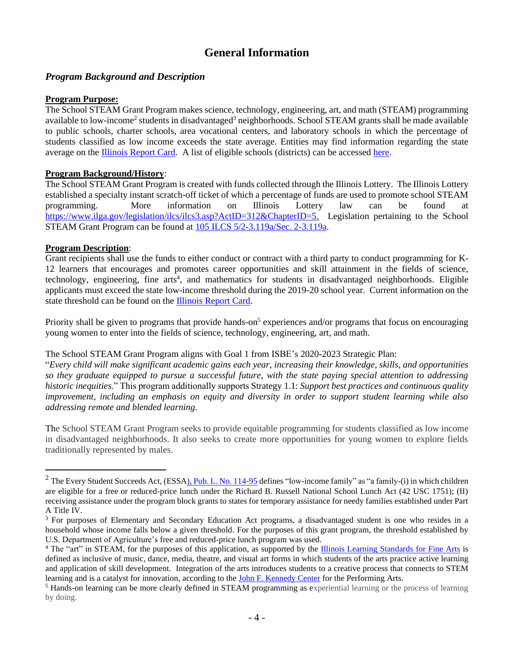# **General Information**

## *Program Background and Description*

#### **Program Purpose:**

The School STEAM Grant Program makes science, technology, engineering, art, and math (STEAM) programming available to low-income<sup>2</sup> students in disadvantaged<sup>3</sup> neighborhoods. School STEAM grants shall be made available to public schools, charter schools, area vocational centers, and laboratory schools in which the percentage of students classified as low income exceeds the state average. Entities may find information regarding the state average on the [Illinois Report Card.](https://www.illinoisreportcard.com/State.aspx?source=studentcharacteristics&source2=lowincome&Stateid=IL) A list of eligible schools (districts) can be accesse[d here.](https://www.isbe.net/Documents/STEAM-Eligible-Districts.pdf)

## **Program Background/History**:

The School STEAM Grant Program is created with funds collected through the Illinois Lottery. The Illinois Lottery established a specialty instant scratch-off ticket of which a percentage of funds are used to promote school STEAM programming. More information on Illinois Lottery law can be found at [https://www.ilga.gov/legislation/ilcs/ilcs3.asp?ActID=312&ChapterID=5.](https://www.ilga.gov/legislation/ilcs/ilcs3.asp?ActID=312&ChapterID=5) Legislation pertaining to the School STEAM Grant Program can be found at 105 ILCS [5/2-3.119a/Sec. 2-3.119a.](https://www.ilga.gov/legislation/ilcs/documents/010500050K2-3.119a.htm)

#### **Program Description**:

Grant recipients shall use the funds to either conduct or contract with a third party to conduct programming for K-12 learners that encourages and promotes career opportunities and skill attainment in the fields of science, technology, engineering, fine arts<sup>4</sup>, and mathematics for students in disadvantaged neighborhoods. Eligible applicants must exceed the state low-income threshold during the 2019-20 school year. Current information on the state threshold can be found on the [Illinois Report Card.](https://www.illinoisreportcard.com/State.aspx?source=studentcharacteristics&source2=lowincome&Stateid=IL)

Priority shall be given to programs that provide hands-on<sup>5</sup> experiences and/or programs that focus on encouraging young women to enter into the fields of science, technology, engineering, art, and math.

#### The School STEAM Grant Program aligns with Goal 1 from ISBE's 2020-2023 Strategic Plan:

"*Every child will make significant academic gains each year, increasing their knowledge, skills, and opportunities so they graduate equipped to pursue a successful future, with the state paying special attention to addressing historic inequities.*" This program additionally supports Strategy 1.1: *Support best practices and continuous quality improvement, including an emphasis on equity and diversity in order to support student learning while also addressing remote and blended learning.*

The School STEAM Grant Program seeks to provide equitable programming for students classified as low income in disadvantaged neighborhoods. It also seeks to create more opportunities for young women to explore fields traditionally represented by males.

 $2$  The Every Student Succeeds Act, (ESS[A\), Pub. L. No. 114-95](https://www.govinfo.gov/content/pkg/PLAW-114publ95/pdf/PLAW-114publ95.pdf) defines "low-income family" as "a family-(i) in which children are eligible for a free or reduced-price lunch under the Richard B. Russell National School Lunch Act (42 USC 1751); (II) receiving assistance under the program block grants to states for temporary assistance for needy families established under Part A Title IV.

<sup>&</sup>lt;sup>3</sup> For purposes of Elementary and Secondary Education Act programs, a disadvantaged student is one who resides in a household whose income falls below a given threshold. For the purposes of this grant program, the threshold established by U.S. Department of Agriculture's free and reduced-price lunch program was used.

<sup>&</sup>lt;sup>4</sup> The "art" in STEAM, for the purposes of this application, as supported by the **Illinois Learning Standards** for Fine Arts is defined as inclusive of music, dance, media, theatre, and visual art forms in which students of the arts practice active learning and application of skill development. Integration of the arts introduces students to a creative process that connects to STEM learning and is a catalyst for innovation, according to the [John F. Kennedy Center](https://www.kennedy-center.org/education/networks-conferences-and-research/networks-and-strategic-leadership/partners-in-education) for the Performing Arts.

<sup>&</sup>lt;sup>5</sup> Hands-on learning can be more clearly defined in STEAM programming as experiential learning or the process of learning by doing.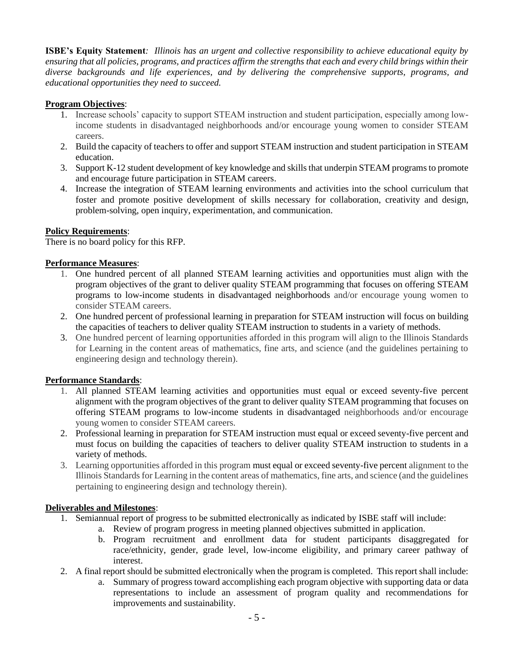**ISBE's Equity Statement***: Illinois has an urgent and collective responsibility to achieve educational equity by ensuring that all policies, programs, and practices affirm the strengths that each and every child brings within their diverse backgrounds and life experiences, and by delivering the comprehensive supports, programs, and educational opportunities they need to succeed.*

## **Program Objectives**:

- 1. Increase schools' capacity to support STEAM instruction and student participation, especially among lowincome students in disadvantaged neighborhoods and/or encourage young women to consider STEAM careers.
- 2. Build the capacity of teachers to offer and support STEAM instruction and student participation in STEAM education.
- 3. Support K-12 student development of key knowledge and skillsthat underpin STEAM programs to promote and encourage future participation in STEAM careers.
- 4. Increase the integration of STEAM learning environments and activities into the school curriculum that foster and promote positive development of skills necessary for collaboration, creativity and design, problem-solving, open inquiry, experimentation, and communication.

#### **Policy Requirements**:

There is no board policy for this RFP.

#### **Performance Measures**:

- 1. One hundred percent of all planned STEAM learning activities and opportunities must align with the program objectives of the grant to deliver quality STEAM programming that focuses on offering STEAM programs to low-income students in disadvantaged neighborhoods and/or encourage young women to consider STEAM careers.
- 2. One hundred percent of professional learning in preparation for STEAM instruction will focus on building the capacities of teachers to deliver quality STEAM instruction to students in a variety of methods.
- 3. One hundred percent of learning opportunities afforded in this program will align to the Illinois Standards for Learning in the content areas of mathematics, fine arts, and science (and the guidelines pertaining to engineering design and technology therein).

#### **Performance Standards**:

- 1. All planned STEAM learning activities and opportunities must equal or exceed seventy-five percent alignment with the program objectives of the grant to deliver quality STEAM programming that focuses on offering STEAM programs to low-income students in disadvantaged neighborhoods and/or encourage young women to consider STEAM careers.
- 2. Professional learning in preparation for STEAM instruction must equal or exceed seventy-five percent and must focus on building the capacities of teachers to deliver quality STEAM instruction to students in a variety of methods.
- 3. Learning opportunities afforded in this program must equal or exceed seventy-five percent alignment to the Illinois Standards for Learning in the content areas of mathematics, fine arts, and science (and the guidelines pertaining to engineering design and technology therein).

## **Deliverables and Milestones**:

- 1. Semiannual report of progress to be submitted electronically as indicated by ISBE staff will include:
	- a. Review of program progress in meeting planned objectives submitted in application.
	- b. Program recruitment and enrollment data for student participants disaggregated for race/ethnicity, gender, grade level, low-income eligibility, and primary career pathway of interest.
- 2. A final report should be submitted electronically when the program is completed. This report shall include:
	- a. Summary of progress toward accomplishing each program objective with supporting data or data representations to include an assessment of program quality and recommendations for improvements and sustainability.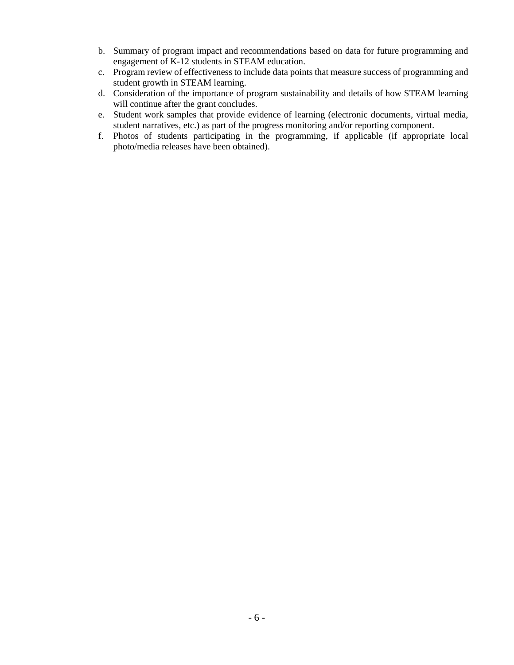- b. Summary of program impact and recommendations based on data for future programming and engagement of K-12 students in STEAM education.
- c. Program review of effectiveness to include data points that measure success of programming and student growth in STEAM learning.
- d. Consideration of the importance of program sustainability and details of how STEAM learning will continue after the grant concludes.
- e. Student work samples that provide evidence of learning (electronic documents, virtual media, student narratives, etc.) as part of the progress monitoring and/or reporting component.
- f. Photos of students participating in the programming, if applicable (if appropriate local photo/media releases have been obtained).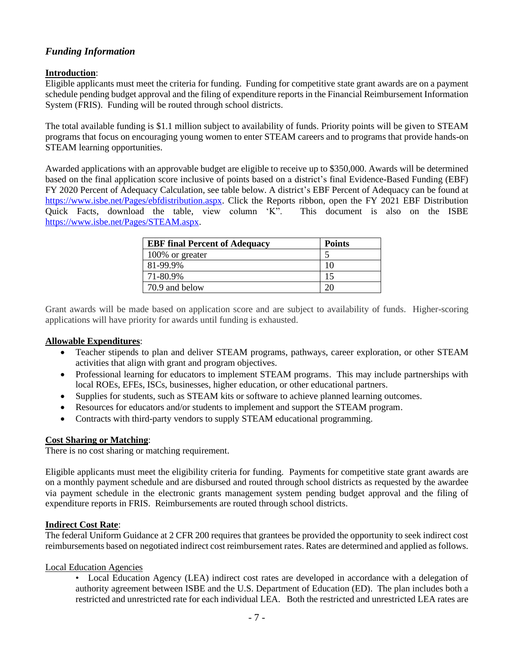# *Funding Information*

#### **Introduction**:

Eligible applicants must meet the criteria for funding. Funding for competitive state grant awards are on a payment schedule pending budget approval and the filing of expenditure reports in the Financial Reimbursement Information System (FRIS). Funding will be routed through school districts.

The total available funding is \$1.1 million subject to availability of funds. Priority points will be given to STEAM programs that focus on encouraging young women to enter STEAM careers and to programs that provide hands-on STEAM learning opportunities.

Awarded applications with an approvable budget are eligible to receive up to \$350,000. Awards will be determined based on the final application score inclusive of points based on a district's final Evidence-Based Funding (EBF) FY 2020 Percent of Adequacy Calculation, see table below. A district's EBF Percent of Adequacy can be found at [https://www.isbe.net/Pages/ebfdistribution.aspx.](https://www.isbe.net/Pages/ebfdistribution.aspx) Click the Reports ribbon, open the FY 2021 EBF Distribution Quick Facts, download the table, view column 'K". This document is also on the ISBE [https://www.isbe.net/Pages/STEAM.aspx.](https://www.isbe.net/Pages/STEAM.aspx)

| <b>EBF</b> final Percent of Adequacy | <b>Points</b> |
|--------------------------------------|---------------|
| 100% or greater                      |               |
| 81-99.9%                             | 10            |
| 71-80.9%                             | 15            |
| 70.9 and below                       |               |

Grant awards will be made based on application score and are subject to availability of funds. Higher-scoring applications will have priority for awards until funding is exhausted.

#### **Allowable Expenditures**:

- Teacher stipends to plan and deliver STEAM programs, pathways, career exploration, or other STEAM activities that align with grant and program objectives.
- Professional learning for educators to implement STEAM programs. This may include partnerships with local ROEs, EFEs, ISCs, businesses, higher education, or other educational partners.
- Supplies for students, such as STEAM kits or software to achieve planned learning outcomes.
- Resources for educators and/or students to implement and support the STEAM program.
- Contracts with third-party vendors to supply STEAM educational programming.

#### **Cost Sharing or Matching**:

There is no cost sharing or matching requirement.

Eligible applicants must meet the eligibility criteria for funding. Payments for competitive state grant awards are on a monthly payment schedule and are disbursed and routed through school districts as requested by the awardee via payment schedule in the electronic grants management system pending budget approval and the filing of expenditure reports in FRIS. Reimbursements are routed through school districts.

#### **Indirect Cost Rate**:

The federal Uniform Guidance at 2 CFR 200 requires that grantees be provided the opportunity to seek indirect cost reimbursements based on negotiated indirect cost reimbursement rates. Rates are determined and applied as follows.

#### Local Education Agencies

• Local Education Agency (LEA) indirect cost rates are developed in accordance with a delegation of authority agreement between ISBE and the U.S. Department of Education (ED). The plan includes both a restricted and unrestricted rate for each individual LEA. Both the restricted and unrestricted LEA rates are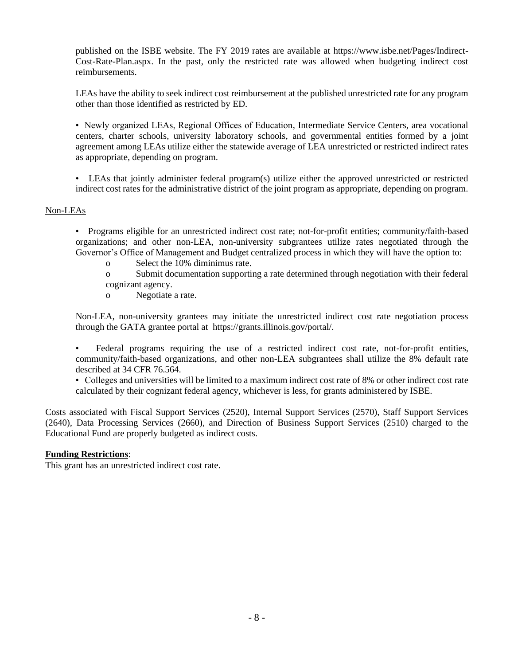published on the ISBE website. The FY 2019 rates are available at https://www.isbe.net/Pages/Indirect-Cost-Rate-Plan.aspx. In the past, only the restricted rate was allowed when budgeting indirect cost reimbursements.

LEAs have the ability to seek indirect cost reimbursement at the published unrestricted rate for any program other than those identified as restricted by ED.

• Newly organized LEAs, Regional Offices of Education, Intermediate Service Centers, area vocational centers, charter schools, university laboratory schools, and governmental entities formed by a joint agreement among LEAs utilize either the statewide average of LEA unrestricted or restricted indirect rates as appropriate, depending on program.

• LEAs that jointly administer federal program(s) utilize either the approved unrestricted or restricted indirect cost rates for the administrative district of the joint program as appropriate, depending on program.

#### Non-LEAs

• Programs eligible for an unrestricted indirect cost rate; not-for-profit entities; community/faith-based organizations; and other non-LEA, non-university subgrantees utilize rates negotiated through the Governor's Office of Management and Budget centralized process in which they will have the option to:

- o Select the 10% diminimus rate.
- o Submit documentation supporting a rate determined through negotiation with their federal cognizant agency.
- o Negotiate a rate.

Non-LEA, non-university grantees may initiate the unrestricted indirect cost rate negotiation process through the GATA grantee portal at https://grants.illinois.gov/portal/.

• Federal programs requiring the use of a restricted indirect cost rate, not-for-profit entities, community/faith-based organizations, and other non-LEA subgrantees shall utilize the 8% default rate described at 34 CFR 76.564.

• Colleges and universities will be limited to a maximum indirect cost rate of 8% or other indirect cost rate calculated by their cognizant federal agency, whichever is less, for grants administered by ISBE.

Costs associated with Fiscal Support Services (2520), Internal Support Services (2570), Staff Support Services (2640), Data Processing Services (2660), and Direction of Business Support Services (2510) charged to the Educational Fund are properly budgeted as indirect costs.

#### **Funding Restrictions**:

This grant has an unrestricted indirect cost rate.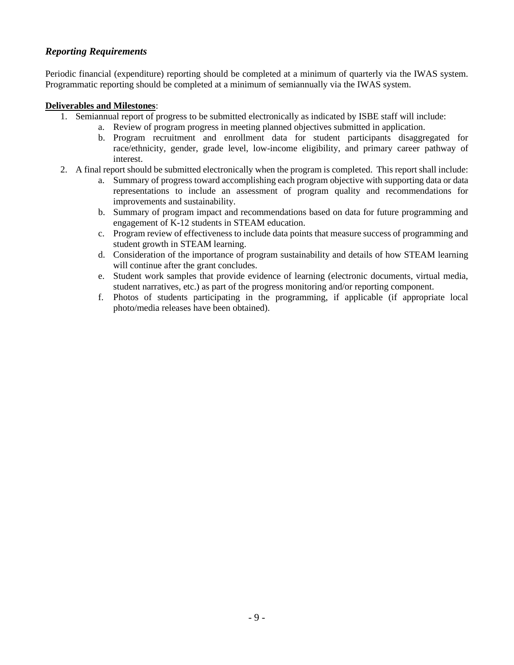# *Reporting Requirements*

Periodic financial (expenditure) reporting should be completed at a minimum of quarterly via the IWAS system. Programmatic reporting should be completed at a minimum of semiannually via the IWAS system.

#### **Deliverables and Milestones**:

- 1. Semiannual report of progress to be submitted electronically as indicated by ISBE staff will include:
	- a. Review of program progress in meeting planned objectives submitted in application.
	- b. Program recruitment and enrollment data for student participants disaggregated for race/ethnicity, gender, grade level, low-income eligibility, and primary career pathway of interest.
- 2. A final report should be submitted electronically when the program is completed. This report shall include:
	- a. Summary of progress toward accomplishing each program objective with supporting data or data representations to include an assessment of program quality and recommendations for improvements and sustainability.
	- b. Summary of program impact and recommendations based on data for future programming and engagement of K-12 students in STEAM education.
	- c. Program review of effectiveness to include data points that measure success of programming and student growth in STEAM learning.
	- d. Consideration of the importance of program sustainability and details of how STEAM learning will continue after the grant concludes.
	- e. Student work samples that provide evidence of learning (electronic documents, virtual media, student narratives, etc.) as part of the progress monitoring and/or reporting component.
	- f. Photos of students participating in the programming, if applicable (if appropriate local photo/media releases have been obtained).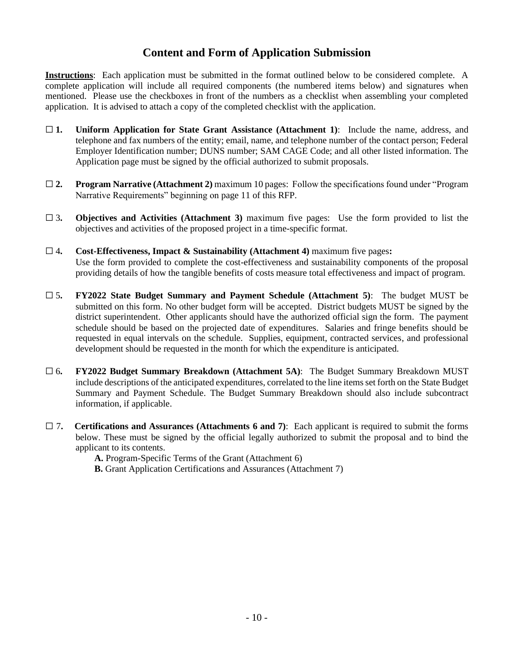# **Content and Form of Application Submission**

**Instructions**: Each application must be submitted in the format outlined below to be considered complete. A complete application will include all required components (the numbered items below) and signatures when mentioned. Please use the checkboxes in front of the numbers as a checklist when assembling your completed application. It is advised to attach a copy of the completed checklist with the application.

- ☐ **1. Uniform Application for State Grant Assistance (Attachment 1)**: Include the name, address, and telephone and fax numbers of the entity; email, name, and telephone number of the contact person; Federal Employer Identification number; DUNS number; SAM CAGE Code; and all other listed information. The Application page must be signed by the official authorized to submit proposals.
- ☐ **2. Program Narrative (Attachment 2)** maximum 10 pages: Follow the specifications found under "Program Narrative Requirements" beginning on page 11 of this RFP.
- ☐ 3**. Objectives and Activities (Attachment 3)** maximum five pages: Use the form provided to list the objectives and activities of the proposed project in a time-specific format.
- ☐ 4**. Cost-Effectiveness, Impact & Sustainability (Attachment 4)** maximum five pages**:** Use the form provided to complete the cost-effectiveness and sustainability components of the proposal providing details of how the tangible benefits of costs measure total effectiveness and impact of program.
- ☐ 5**. FY2022 State Budget Summary and Payment Schedule (Attachment 5)**: The budget MUST be submitted on this form. No other budget form will be accepted. District budgets MUST be signed by the district superintendent. Other applicants should have the authorized official sign the form. The payment schedule should be based on the projected date of expenditures. Salaries and fringe benefits should be requested in equal intervals on the schedule. Supplies, equipment, contracted services, and professional development should be requested in the month for which the expenditure is anticipated.
- ☐ 6**. FY2022 Budget Summary Breakdown (Attachment 5A)**: The Budget Summary Breakdown MUST include descriptions of the anticipated expenditures, correlated to the line items set forth on the State Budget Summary and Payment Schedule. The Budget Summary Breakdown should also include subcontract information, if applicable.
- ☐ 7**. Certifications and Assurances (Attachments 6 and 7)**: Each applicant is required to submit the forms below. These must be signed by the official legally authorized to submit the proposal and to bind the applicant to its contents.

**A.** Program-Specific Terms of the Grant (Attachment 6)

**B.** Grant Application Certifications and Assurances (Attachment 7)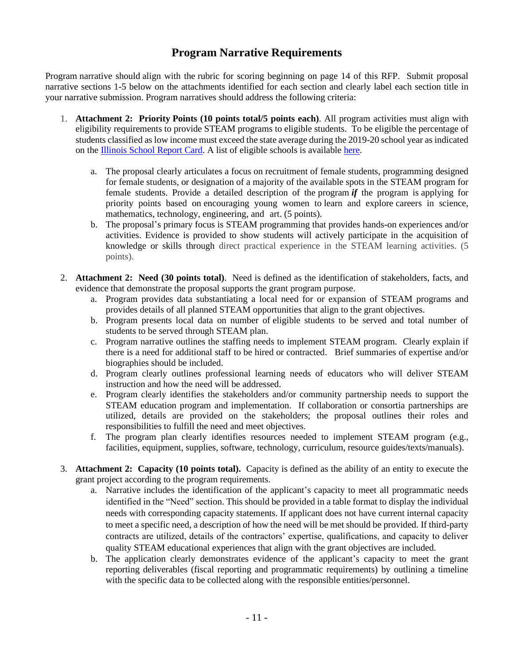# **Program Narrative Requirements**

Program narrative should align with the rubric for scoring beginning on page 14 of this RFP. Submit proposal narrative sections 1-5 below on the attachments identified for each section and clearly label each section title in your narrative submission. Program narratives should address the following criteria:

- 1. **Attachment 2: Priority Points (10 points total/5 points each)**. All program activities must align with eligibility requirements to provide STEAM programs to eligible students. To be eligible the percentage of students classified as low income must exceed the state average during the 2019-20 school year as indicated on the [Illinois School Report Card.](https://www.illinoisreportcard.com/State.aspx?source=studentcharacteristics&source2=lowincome&Stateid=IL) A list of eligible schools is available [here.](https://www.isbe.net/Documents/STEAM-Eligible-Districts.pdf)
	- a. The proposal clearly articulates a focus on recruitment of female students, programming designed for female students, or designation of a majority of the available spots in the STEAM program for female students. Provide a detailed description of the program *if* the program is applying for priority points based on encouraging young women to learn and explore careers in science, mathematics, technology, engineering, and art. (5 points).
	- b. The proposal's primary focus is STEAM programming that provides hands-on experiences and/or activities. Evidence is provided to show students will actively participate in the acquisition of knowledge or skills through direct practical experience in the STEAM learning activities. (5 points).
- 2. **Attachment 2: Need (30 points total)**. Need is defined as the identification of stakeholders, facts, and evidence that demonstrate the proposal supports the grant program purpose.
	- a. Program provides data substantiating a local need for or expansion of STEAM programs and provides details of all planned STEAM opportunities that align to the grant objectives.
	- b. Program presents local data on number of eligible students to be served and total number of students to be served through STEAM plan.
	- c. Program narrative outlines the staffing needs to implement STEAM program. Clearly explain if there is a need for additional staff to be hired or contracted. Brief summaries of expertise and/or biographies should be included.
	- d. Program clearly outlines professional learning needs of educators who will deliver STEAM instruction and how the need will be addressed.
	- e. Program clearly identifies the stakeholders and/or community partnership needs to support the STEAM education program and implementation. If collaboration or consortia partnerships are utilized, details are provided on the stakeholders; the proposal outlines their roles and responsibilities to fulfill the need and meet objectives.
	- f. The program plan clearly identifies resources needed to implement STEAM program (e.g., facilities, equipment, supplies, software, technology, curriculum, resource guides/texts/manuals).
- 3. **Attachment 2: Capacity (10 points total).** Capacity is defined as the ability of an entity to execute the grant project according to the program requirements.
	- a. Narrative includes the identification of the applicant's capacity to meet all programmatic needs identified in the "Need" section. This should be provided in a table format to display the individual needs with corresponding capacity statements. If applicant does not have current internal capacity to meet a specific need, a description of how the need will be met should be provided. If third-party contracts are utilized, details of the contractors' expertise, qualifications, and capacity to deliver quality STEAM educational experiences that align with the grant objectives are included.
	- b. The application clearly demonstrates evidence of the applicant's capacity to meet the grant reporting deliverables (fiscal reporting and programmatic requirements) by outlining a timeline with the specific data to be collected along with the responsible entities/personnel.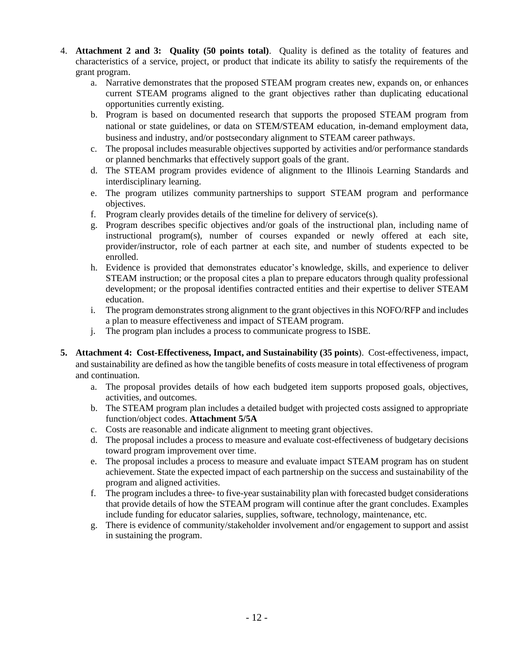- 4. **Attachment 2 and 3: Quality (50 points total)**. Quality is defined as the totality of features and characteristics of a service, project, or product that indicate its ability to satisfy the requirements of the grant program.
	- a. Narrative demonstrates that the proposed STEAM program creates new, expands on, or enhances current STEAM programs aligned to the grant objectives rather than duplicating educational opportunities currently existing.
	- b. Program is based on documented research that supports the proposed STEAM program from national or state guidelines, or data on STEM/STEAM education, in-demand employment data, business and industry, and/or postsecondary alignment to STEAM career pathways.
	- c. The proposal includes measurable objectives supported by activities and/or performance standards or planned benchmarks that effectively support goals of the grant.
	- d. The STEAM program provides evidence of alignment to the Illinois Learning Standards and interdisciplinary learning.
	- e. The program utilizes community partnerships to support STEAM program and performance objectives.
	- f. Program clearly provides details of the timeline for delivery of service(s).
	- g. Program describes specific objectives and/or goals of the instructional plan, including name of instructional program(s), number of courses expanded or newly offered at each site, provider/instructor, role of each partner at each site, and number of students expected to be enrolled.
	- h. Evidence is provided that demonstrates educator's knowledge, skills, and experience to deliver STEAM instruction; or the proposal cites a plan to prepare educators through quality professional development; or the proposal identifies contracted entities and their expertise to deliver STEAM education.
	- i. The program demonstrates strong alignment to the grant objectives in this NOFO/RFP and includes a plan to measure effectiveness and impact of STEAM program.
	- j. The program plan includes a process to communicate progress to ISBE.
- **5. Attachment 4: Cost-Effectiveness, Impact, and Sustainability (35 points**). Cost-effectiveness, impact, and sustainability are defined as how the tangible benefits of costs measure in total effectiveness of program and continuation.
	- a. The proposal provides details of how each budgeted item supports proposed goals, objectives, activities, and outcomes.
	- b. The STEAM program plan includes a detailed budget with projected costs assigned to appropriate function/object codes. **Attachment 5/5A**
	- c. Costs are reasonable and indicate alignment to meeting grant objectives.
	- d. The proposal includes a process to measure and evaluate cost-effectiveness of budgetary decisions toward program improvement over time.
	- e. The proposal includes a process to measure and evaluate impact STEAM program has on student achievement. State the expected impact of each partnership on the success and sustainability of the program and aligned activities.
	- f. The program includes a three- to five-year sustainability plan with forecasted budget considerations that provide details of how the STEAM program will continue after the grant concludes. Examples include funding for educator salaries, supplies, software, technology, maintenance, etc.
	- g. There is evidence of community/stakeholder involvement and/or engagement to support and assist in sustaining the program.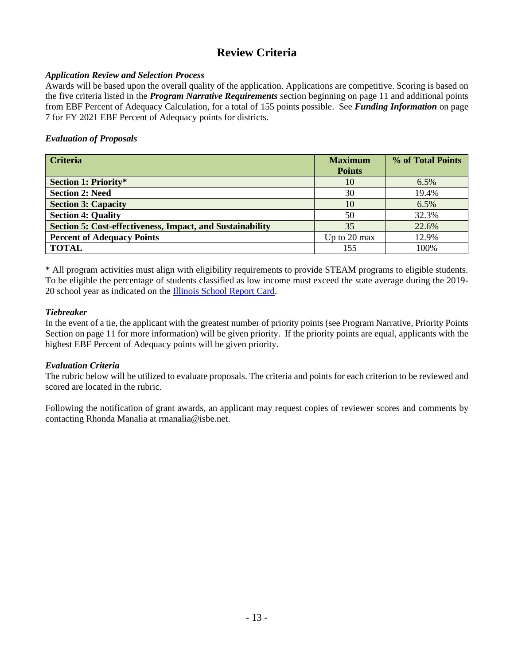# **Review Criteria**

## *Application Review and Selection Process*

Awards will be based upon the overall quality of the application. Applications are competitive. Scoring is based on the five criteria listed in the *Program Narrative Requirements* section beginning on page 11 and additional points from EBF Percent of Adequacy Calculation, for a total of 155 points possible. See *Funding Information* on page 7 for FY 2021 EBF Percent of Adequacy points for districts.

## *Evaluation of Proposals*

| <b>Criteria</b>                                                  | <b>Maximum</b> | % of Total Points |
|------------------------------------------------------------------|----------------|-------------------|
|                                                                  | <b>Points</b>  |                   |
| <b>Section 1: Priority*</b>                                      | 10             | $6.5\%$           |
| <b>Section 2: Need</b>                                           | 30             | 19.4%             |
| <b>Section 3: Capacity</b>                                       | 10             | 6.5%              |
| <b>Section 4: Quality</b>                                        | 50             | 32.3%             |
| <b>Section 5: Cost-effectiveness, Impact, and Sustainability</b> | 35             | 22.6%             |
| <b>Percent of Adequacy Points</b>                                | Up to 20 max   | 12.9%             |
| <b>TOTAL</b>                                                     | 155            | 100%              |

\* All program activities must align with eligibility requirements to provide STEAM programs to eligible students. To be eligible the percentage of students classified as low income must exceed the state average during the 2019- 20 school year as indicated on the [Illinois School Report Card.](https://www.illinoisreportcard.com/State.aspx?source=studentcharacteristics&source2=lowincome&Stateid=IL)

#### *Tiebreaker*

In the event of a tie, the applicant with the greatest number of priority points (see Program Narrative, Priority Points Section on page 11 for more information) will be given priority. If the priority points are equal, applicants with the highest EBF Percent of Adequacy points will be given priority.

#### *Evaluation Criteria*

The rubric below will be utilized to evaluate proposals. The criteria and points for each criterion to be reviewed and scored are located in the rubric.

Following the notification of grant awards, an applicant may request copies of reviewer scores and comments by contacting Rhonda Manalia at rmanalia@isbe.net.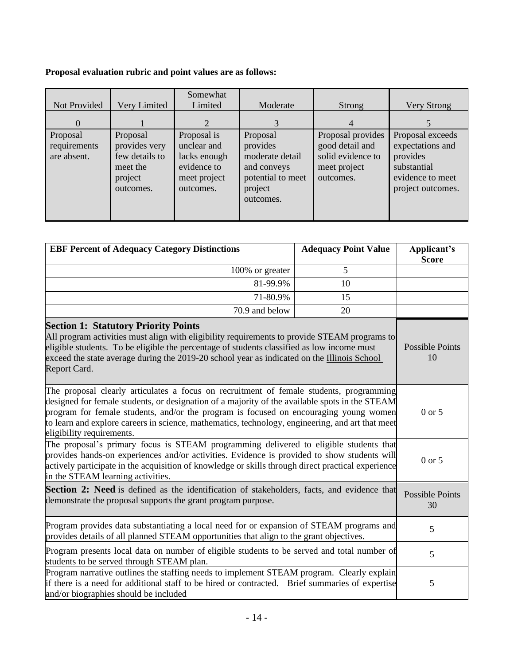# **Proposal evaluation rubric and point values are as follows:**

| Not Provided                            | Very Limited                                                                    | Somewhat<br>Limited                                                                    | Moderate                                                                                            | Strong                                                                                 | Very Strong                                                                                              |
|-----------------------------------------|---------------------------------------------------------------------------------|----------------------------------------------------------------------------------------|-----------------------------------------------------------------------------------------------------|----------------------------------------------------------------------------------------|----------------------------------------------------------------------------------------------------------|
| $\Omega$                                |                                                                                 | $\mathcal{D}_{\cdot}$                                                                  | 3                                                                                                   | 4                                                                                      |                                                                                                          |
| Proposal<br>requirements<br>are absent. | Proposal<br>provides very<br>few details to<br>meet the<br>project<br>outcomes. | Proposal is<br>unclear and<br>lacks enough<br>evidence to<br>meet project<br>outcomes. | Proposal<br>provides<br>moderate detail<br>and conveys<br>potential to meet<br>project<br>outcomes. | Proposal provides<br>good detail and<br>solid evidence to<br>meet project<br>outcomes. | Proposal exceeds<br>expectations and<br>provides<br>substantial<br>evidence to meet<br>project outcomes. |

| <b>EBF Percent of Adequacy Category Distinctions</b>                                                                                                                                                                                                                                                                                                                                                                | <b>Adequacy Point Value</b>  | Applicant's<br><b>Score</b>  |
|---------------------------------------------------------------------------------------------------------------------------------------------------------------------------------------------------------------------------------------------------------------------------------------------------------------------------------------------------------------------------------------------------------------------|------------------------------|------------------------------|
| 100% or greater                                                                                                                                                                                                                                                                                                                                                                                                     | 5                            |                              |
| 81-99.9%                                                                                                                                                                                                                                                                                                                                                                                                            | 10                           |                              |
| 71-80.9%                                                                                                                                                                                                                                                                                                                                                                                                            | 15                           |                              |
| 70.9 and below                                                                                                                                                                                                                                                                                                                                                                                                      | 20                           |                              |
| <b>Section 1: Statutory Priority Points</b><br>All program activities must align with eligibility requirements to provide STEAM programs to<br>eligible students. To be eligible the percentage of students classified as low income must<br>exceed the state average during the 2019-20 school year as indicated on the Illinois School<br>Report Card.                                                            |                              | <b>Possible Points</b><br>10 |
| The proposal clearly articulates a focus on recruitment of female students, programming<br>designed for female students, or designation of a majority of the available spots in the STEAM<br>program for female students, and/or the program is focused on encouraging young women<br>to learn and explore careers in science, mathematics, technology, engineering, and art that meet<br>eligibility requirements. | $0$ or $5$                   |                              |
| The proposal's primary focus is STEAM programming delivered to eligible students that<br>provides hands-on experiences and/or activities. Evidence is provided to show students will<br>actively participate in the acquisition of knowledge or skills through direct practical experience<br>in the STEAM learning activities.                                                                                     |                              | $0$ or $5$                   |
| Section 2: Need is defined as the identification of stakeholders, facts, and evidence that<br>demonstrate the proposal supports the grant program purpose.                                                                                                                                                                                                                                                          | <b>Possible Points</b><br>30 |                              |
| Program provides data substantiating a local need for or expansion of STEAM programs and<br>provides details of all planned STEAM opportunities that align to the grant objectives.                                                                                                                                                                                                                                 |                              | 5                            |
| Program presents local data on number of eligible students to be served and total number of<br>students to be served through STEAM plan.                                                                                                                                                                                                                                                                            |                              | 5                            |
| Program narrative outlines the staffing needs to implement STEAM program. Clearly explain<br>if there is a need for additional staff to be hired or contracted. Brief summaries of expertise<br>and/or biographies should be included                                                                                                                                                                               | 5                            |                              |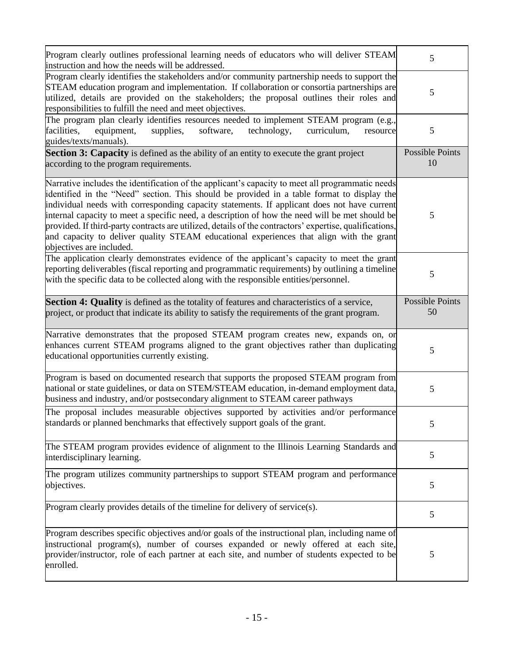| Program clearly outlines professional learning needs of educators who will deliver STEAM<br>instruction and how the needs will be addressed.                                                                                                                                                                                                                                                                                                                                                                                                                                                                                      | 5                            |
|-----------------------------------------------------------------------------------------------------------------------------------------------------------------------------------------------------------------------------------------------------------------------------------------------------------------------------------------------------------------------------------------------------------------------------------------------------------------------------------------------------------------------------------------------------------------------------------------------------------------------------------|------------------------------|
| Program clearly identifies the stakeholders and/or community partnership needs to support the<br>STEAM education program and implementation. If collaboration or consortia partnerships are<br>utilized, details are provided on the stakeholders; the proposal outlines their roles and<br>responsibilities to fulfill the need and meet objectives.                                                                                                                                                                                                                                                                             | 5                            |
| The program plan clearly identifies resources needed to implement STEAM program (e.g.,<br>software,<br>facilities,<br>equipment,<br>supplies,<br>technology,<br>curriculum,<br>resource<br>guides/texts/manuals).                                                                                                                                                                                                                                                                                                                                                                                                                 | $\mathfrak{S}$               |
| <b>Section 3: Capacity</b> is defined as the ability of an entity to execute the grant project<br>according to the program requirements.                                                                                                                                                                                                                                                                                                                                                                                                                                                                                          | Possible Points<br>10        |
| Narrative includes the identification of the applicant's capacity to meet all programmatic needs<br>identified in the "Need" section. This should be provided in a table format to display the<br>individual needs with corresponding capacity statements. If applicant does not have current<br>internal capacity to meet a specific need, a description of how the need will be met should be<br>provided. If third-party contracts are utilized, details of the contractors' expertise, qualifications,<br>and capacity to deliver quality STEAM educational experiences that align with the grant<br>objectives are included. | 5                            |
| The application clearly demonstrates evidence of the applicant's capacity to meet the grant<br>reporting deliverables (fiscal reporting and programmatic requirements) by outlining a timeline<br>with the specific data to be collected along with the responsible entities/personnel.                                                                                                                                                                                                                                                                                                                                           | 5                            |
| <b>Section 4: Quality</b> is defined as the totality of features and characteristics of a service,<br>project, or product that indicate its ability to satisfy the requirements of the grant program.                                                                                                                                                                                                                                                                                                                                                                                                                             | <b>Possible Points</b><br>50 |
| Narrative demonstrates that the proposed STEAM program creates new, expands on, or<br>enhances current STEAM programs aligned to the grant objectives rather than duplicating<br>educational opportunities currently existing.                                                                                                                                                                                                                                                                                                                                                                                                    | 5                            |
| Program is based on documented research that supports the proposed STEAM program from<br>national or state guidelines, or data on STEM/STEAM education, in-demand employment data,<br>business and industry, and/or postsecondary alignment to STEAM career pathways                                                                                                                                                                                                                                                                                                                                                              | 5                            |
| The proposal includes measurable objectives supported by activities and/or performance<br>standards or planned benchmarks that effectively support goals of the grant.                                                                                                                                                                                                                                                                                                                                                                                                                                                            | $\mathcal{D}$                |
| The STEAM program provides evidence of alignment to the Illinois Learning Standards and<br>interdisciplinary learning.                                                                                                                                                                                                                                                                                                                                                                                                                                                                                                            | 5                            |
| The program utilizes community partnerships to support STEAM program and performance<br>objectives.                                                                                                                                                                                                                                                                                                                                                                                                                                                                                                                               | 5                            |
| Program clearly provides details of the timeline for delivery of service(s).                                                                                                                                                                                                                                                                                                                                                                                                                                                                                                                                                      | 5                            |
| Program describes specific objectives and/or goals of the instructional plan, including name of<br>instructional program(s), number of courses expanded or newly offered at each site,<br>provider/instructor, role of each partner at each site, and number of students expected to be<br>enrolled.                                                                                                                                                                                                                                                                                                                              | 5                            |